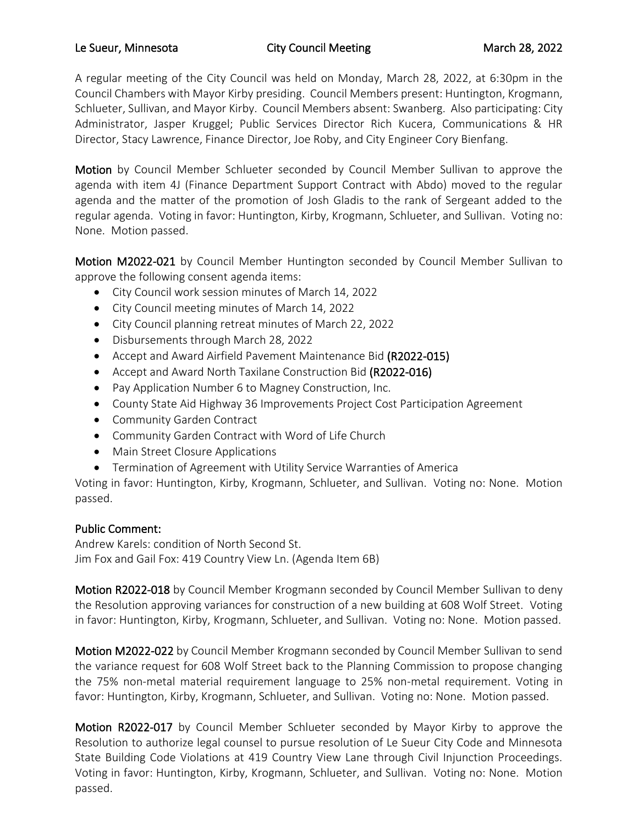## Le Sueur, Minnesota **City Council Meeting** March 28, 2022

A regular meeting of the City Council was held on Monday, March 28, 2022, at 6:30pm in the Council Chambers with Mayor Kirby presiding. Council Members present: Huntington, Krogmann, Schlueter, Sullivan, and Mayor Kirby. Council Members absent: Swanberg. Also participating: City Administrator, Jasper Kruggel; Public Services Director Rich Kucera, Communications & HR Director, Stacy Lawrence, Finance Director, Joe Roby, and City Engineer Cory Bienfang.

Motion by Council Member Schlueter seconded by Council Member Sullivan to approve the agenda with item 4J (Finance Department Support Contract with Abdo) moved to the regular agenda and the matter of the promotion of Josh Gladis to the rank of Sergeant added to the regular agenda. Voting in favor: Huntington, Kirby, Krogmann, Schlueter, and Sullivan. Voting no: None. Motion passed.

Motion M2022-021 by Council Member Huntington seconded by Council Member Sullivan to approve the following consent agenda items:

- City Council work session minutes of March 14, 2022
- City Council meeting minutes of March 14, 2022
- City Council planning retreat minutes of March 22, 2022
- Disbursements through March 28, 2022
- Accept and Award Airfield Pavement Maintenance Bid (R2022-015)
- Accept and Award North Taxilane Construction Bid (R2022-016)
- Pay Application Number 6 to Magney Construction, Inc.
- County State Aid Highway 36 Improvements Project Cost Participation Agreement
- Community Garden Contract
- Community Garden Contract with Word of Life Church
- Main Street Closure Applications
- Termination of Agreement with Utility Service Warranties of America

Voting in favor: Huntington, Kirby, Krogmann, Schlueter, and Sullivan. Voting no: None. Motion passed.

## Public Comment:

Andrew Karels: condition of North Second St. Jim Fox and Gail Fox: 419 Country View Ln. (Agenda Item 6B)

Motion R2022-018 by Council Member Krogmann seconded by Council Member Sullivan to deny the Resolution approving variances for construction of a new building at 608 Wolf Street. Voting in favor: Huntington, Kirby, Krogmann, Schlueter, and Sullivan. Voting no: None. Motion passed.

Motion M2022-022 by Council Member Krogmann seconded by Council Member Sullivan to send the variance request for 608 Wolf Street back to the Planning Commission to propose changing the 75% non-metal material requirement language to 25% non-metal requirement. Voting in favor: Huntington, Kirby, Krogmann, Schlueter, and Sullivan. Voting no: None. Motion passed.

Motion R2022-017 by Council Member Schlueter seconded by Mayor Kirby to approve the Resolution to authorize legal counsel to pursue resolution of Le Sueur City Code and Minnesota State Building Code Violations at 419 Country View Lane through Civil Injunction Proceedings. Voting in favor: Huntington, Kirby, Krogmann, Schlueter, and Sullivan. Voting no: None. Motion passed.